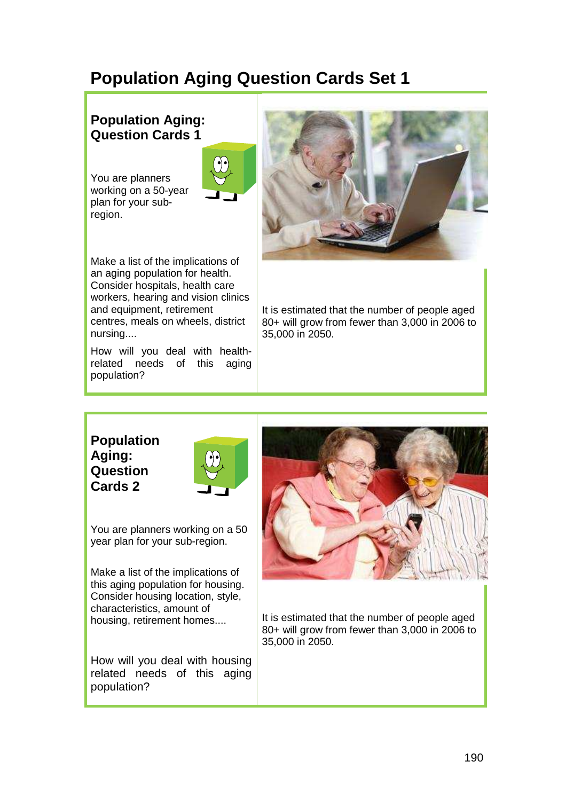# **Population Aging Question Cards Set 1**

## **Population Aging: Question Cards 1**

You are planners working on a 50-year plan for your subregion.



Make a list of the implications of an aging population for health. Consider hospitals, health care workers, hearing and vision clinics and equipment, retirement centres, meals on wheels, district nursing....

How will you deal with healthrelated needs of this aging population?



It is estimated that the number of people aged 80+ will grow from fewer than 3,000 in 2006 to 35,000 in 2050.

#### **Population Aging: Question Cards 2**



You are planners working on a 50 year plan for your sub-region.

Make a list of the implications of this aging population for housing. Consider housing location, style, characteristics, amount of housing, retirement homes....

How will you deal with housing related needs of this aging population?



It is estimated that the number of people aged 80+ will grow from fewer than 3,000 in 2006 to 35,000 in 2050.